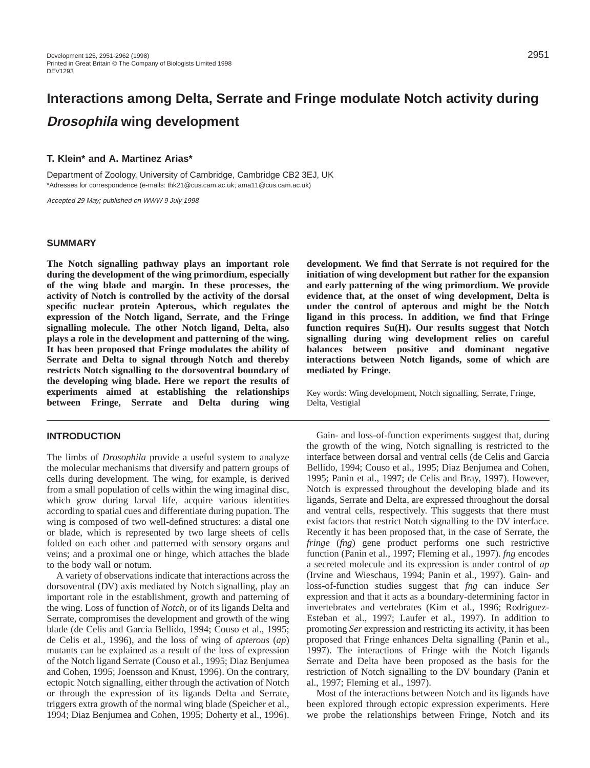# **Interactions among Delta, Serrate and Fringe modulate Notch activity during Drosophila wing development**

#### **T. Klein\* and A. Martinez Arias\***

Department of Zoology, University of Cambridge, Cambridge CB2 3EJ, UK \*Adresses for correspondence (e-mails: thk21@cus.cam.ac.uk; ama11@cus.cam.ac.uk)

Accepted 29 May; published on WWW 9 July 1998

#### **SUMMARY**

**The Notch signalling pathway plays an important role during the development of the wing primordium, especially of the wing blade and margin. In these processes, the activity of Notch is controlled by the activity of the dorsal specific nuclear protein Apterous, which regulates the expression of the Notch ligand, Serrate, and the Fringe signalling molecule. The other Notch ligand, Delta, also plays a role in the development and patterning of the wing. It has been proposed that Fringe modulates the ability of Serrate and Delta to signal through Notch and thereby restricts Notch signalling to the dorsoventral boundary of the developing wing blade. Here we report the results of experiments aimed at establishing the relationships between Fringe, Serrate and Delta during wing**

#### **INTRODUCTION**

The limbs of *Drosophila* provide a useful system to analyze the molecular mechanisms that diversify and pattern groups of cells during development. The wing, for example, is derived from a small population of cells within the wing imaginal disc, which grow during larval life, acquire various identities according to spatial cues and differentiate during pupation. The wing is composed of two well-defined structures: a distal one or blade, which is represented by two large sheets of cells folded on each other and patterned with sensory organs and veins; and a proximal one or hinge, which attaches the blade to the body wall or notum.

A variety of observations indicate that interactions across the dorsoventral (DV) axis mediated by Notch signalling, play an important role in the establishment, growth and patterning of the wing. Loss of function of *Notch*, or of its ligands Delta and Serrate, compromises the development and growth of the wing blade (de Celis and Garcia Bellido, 1994; Couso et al., 1995; de Celis et al., 1996), and the loss of wing of *apterous* (*ap*) mutants can be explained as a result of the loss of expression of the Notch ligand Serrate (Couso et al., 1995; Diaz Benjumea and Cohen, 1995; Joensson and Knust, 1996). On the contrary, ectopic Notch signalling, either through the activation of Notch or through the expression of its ligands Delta and Serrate, triggers extra growth of the normal wing blade (Speicher et al., 1994; Diaz Benjumea and Cohen, 1995; Doherty et al., 1996).

**development. We find that Serrate is not required for the initiation of wing development but rather for the expansion and early patterning of the wing primordium. We provide evidence that, at the onset of wing development, Delta is under the control of apterous and might be the Notch ligand in this process. In addition, we find that Fringe function requires Su(H). Our results suggest that Notch signalling during wing development relies on careful balances between positive and dominant negative interactions between Notch ligands, some of which are mediated by Fringe.**

Key words: Wing development, Notch signalling, Serrate, Fringe, Delta, Vestigial

Gain- and loss-of-function experiments suggest that, during the growth of the wing, Notch signalling is restricted to the interface between dorsal and ventral cells (de Celis and Garcia Bellido, 1994; Couso et al., 1995; Diaz Benjumea and Cohen, 1995; Panin et al., 1997; de Celis and Bray, 1997). However, Notch is expressed throughout the developing blade and its ligands, Serrate and Delta, are expressed throughout the dorsal and ventral cells, respectively. This suggests that there must exist factors that restrict Notch signalling to the DV interface. Recently it has been proposed that, in the case of Serrate, the *fringe* (*fng*) gene product performs one such restrictive function (Panin et al., 1997; Fleming et al., 1997). *fng* encodes a secreted molecule and its expression is under control of *ap* (Irvine and Wieschaus, 1994; Panin et al., 1997). Gain- and loss-of-function studies suggest that *fng* can induce *Ser* expression and that it acts as a boundary-determining factor in invertebrates and vertebrates (Kim et al., 1996; Rodriguez-Esteban et al., 1997; Laufer et al., 1997). In addition to promoting *Ser* expression and restricting its activity, it has been proposed that Fringe enhances Delta signalling (Panin et al., 1997). The interactions of Fringe with the Notch ligands Serrate and Delta have been proposed as the basis for the restriction of Notch signalling to the DV boundary (Panin et al., 1997; Fleming et al., 1997).

Most of the interactions between Notch and its ligands have been explored through ectopic expression experiments. Here we probe the relationships between Fringe, Notch and its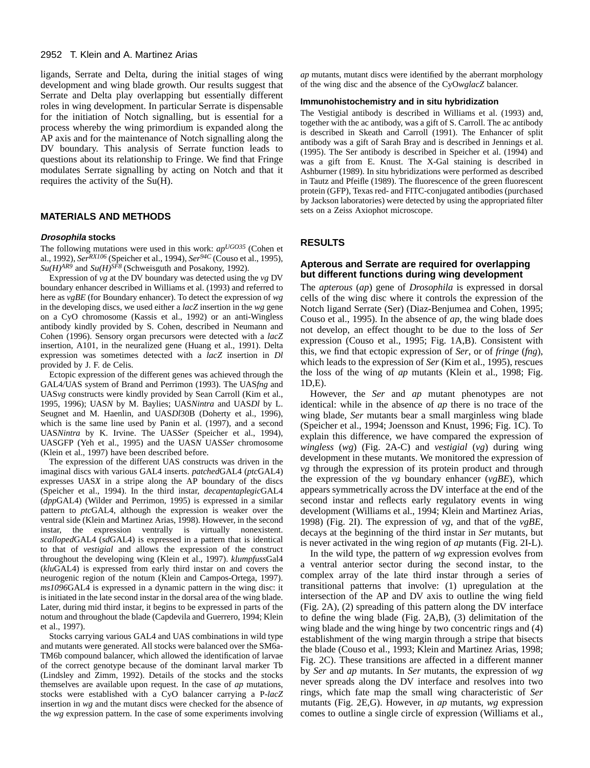ligands, Serrate and Delta, during the initial stages of wing development and wing blade growth. Our results suggest that Serrate and Delta play overlapping but essentially different roles in wing development. In particular Serrate is dispensable for the initiation of Notch signalling, but is essential for a process whereby the wing primordium is expanded along the AP axis and for the maintenance of Notch signalling along the DV boundary. This analysis of Serrate function leads to questions about its relationship to Fringe. We find that Fringe modulates Serrate signalling by acting on Notch and that it requires the activity of the Su(H).

# **MATERIALS AND METHODS**

#### **Drosophila stocks**

The following mutations were used in this work: *apUGO35* (Cohen et al., 1992), *SerRX106* (Speicher et al., 1994), *Ser94C* (Couso et al., 1995),  $Su(H)^{AR9}$  and  $Su(H)^{SFR}$  (Schweisguth and Posakony, 1992).

Expression of *vg* at the DV boundary was detected using the *vg* DV boundary enhancer described in Williams et al. (1993) and referred to here as *vgBE* (for Boundary enhancer). To detect the expression of *wg* in the developing discs, we used either a *lacZ* insertion in the *wg* gene on a CyO chromosome (Kassis et al., 1992) or an anti-Wingless antibody kindly provided by S. Cohen, described in Neumann and Cohen (1996). Sensory organ precursors were detected with a *lacZ* insertion, A101, in the neuralized gene (Huang et al., 1991). Delta expression was sometimes detected with a *lacZ* insertion in *Dl* provided by J. F. de Celis.

Ectopic expression of the different genes was achieved through the GAL4/UAS system of Brand and Perrimon (1993). The UAS*fng* and UAS*vg* constructs were kindly provided by Sean Carroll (Kim et al., 1995, 1996); UAS*N* by M. Baylies; UAS*Nintra* and UAS*Dl* by L. Seugnet and M. Haenlin, and UAS*Dl*30B (Doherty et al., 1996), which is the same line used by Panin et al. (1997), and a second UAS*Nintra* by K. Irvine. The UAS*Ser* (Speicher et al., 1994), UASGFP (Yeh et al., 1995) and the UAS*N* UAS*Ser* chromosome (Klein et al., 1997) have been described before.

The expression of the different UAS constructs was driven in the imaginal discs with various GAL4 inserts. *patched*GAL4 (*ptc*GAL4) expresses UAS*X* in a stripe along the AP boundary of the discs (Speicher et al., 1994). In the third instar, *decapentaplegic*GAL4 (*dpp*GAL4) (Wilder and Perrimon, 1995) is expressed in a similar pattern to *ptc*GAL4, although the expression is weaker over the ventral side (Klein and Martinez Arias, 1998). However, in the second instar, the expression ventrally is virtually nonexistent. *scalloped*GAL4 (*sd*GAL4) is expressed in a pattern that is identical to that of *vestigial* and allows the expression of the construct throughout the developing wing (Klein et al., 1997). *klumpfuss*Gal4 (*klu*GAL4) is expressed from early third instar on and covers the neurogenic region of the notum (Klein and Campos-Ortega, 1997). *ms1096*GAL4 is expressed in a dynamic pattern in the wing disc: it is initiated in the late second instar in the dorsal area of the wing blade. Later, during mid third instar, it begins to be expressed in parts of the notum and throughout the blade (Capdevila and Guerrero, 1994; Klein et al., 1997).

Stocks carrying various GAL4 and UAS combinations in wild type and mutants were generated. All stocks were balanced over the SM6a-TM6b compound balancer, which allowed the identification of larvae of the correct genotype because of the dominant larval marker Tb (Lindsley and Zimm, 1992). Details of the stocks and the stocks themselves are available upon request. In the case of *ap* mutations, stocks were established with a CyO balancer carrying a P-*lacZ* insertion in *wg* and the mutant discs were checked for the absence of the *wg* expression pattern. In the case of some experiments involving

*ap* mutants, mutant discs were identified by the aberrant morphology of the wing disc and the absence of the CyO*wglacZ* balancer.

#### **Immunohistochemistry and in situ hybridization**

The Vestigial antibody is described in Williams et al. (1993) and, together with the ac antibody, was a gift of S. Carroll. The ac antibody is described in Skeath and Carroll (1991). The Enhancer of split antibody was a gift of Sarah Bray and is described in Jennings et al. (1995). The Ser antibody is described in Speicher et al. (1994) and was a gift from E. Knust. The X-Gal staining is described in Ashburner (1989). In situ hybridizations were performed as described in Tautz and Pfeifle (1989). The fluorescence of the green fluorescent protein (GFP), Texas red- and FITC-conjugated antibodies (purchased by Jackson laboratories) were detected by using the appropriated filter sets on a Zeiss Axiophot microscope.

### **RESULTS**

# **Apterous and Serrate are required for overlapping but different functions during wing development**

The *apterous* (*ap*) gene of *Drosophila* is expressed in dorsal cells of the wing disc where it controls the expression of the Notch ligand Serrate (Ser) (Diaz-Benjumea and Cohen, 1995; Couso et al., 1995). In the absence of *ap*, the wing blade does not develop, an effect thought to be due to the loss of *Ser* expression (Couso et al., 1995; Fig. 1A,B). Consistent with this, we find that ectopic expression of *Ser*, or of *fringe* (*fng*), which leads to the expression of *Ser* (Kim et al., 1995), rescues the loss of the wing of *ap* mutants (Klein et al., 1998; Fig. 1D,E).

However, the *Ser* and *ap* mutant phenotypes are not identical: while in the absence of *ap* there is no trace of the wing blade, *Ser* mutants bear a small marginless wing blade (Speicher et al., 1994; Joensson and Knust, 1996; Fig. 1C). To explain this difference, we have compared the expression of *wingless* (*wg*) (Fig. 2A-C) and *vestigial* (*vg*) during wing development in these mutants. We monitored the expression of *vg* through the expression of its protein product and through the expression of the *vg* boundary enhancer (*vgBE*), which appears symmetrically across the DV interface at the end of the second instar and reflects early regulatory events in wing development (Williams et al., 1994; Klein and Martinez Arias, 1998) (Fig. 2I). The expression of *vg*, and that of the *vgBE*, decays at the beginning of the third instar in *Ser* mutants, but is never activated in the wing region of *ap* mutants (Fig. 2I-L).

In the wild type, the pattern of *wg* expression evolves from a ventral anterior sector during the second instar, to the complex array of the late third instar through a series of transitional patterns that involve: (1) upregulation at the intersection of the AP and DV axis to outline the wing field (Fig. 2A), (2) spreading of this pattern along the DV interface to define the wing blade (Fig. 2A,B), (3) delimitation of the wing blade and the wing hinge by two concentric rings and (4) establishment of the wing margin through a stripe that bisects the blade (Couso et al., 1993; Klein and Martinez Arias, 1998; Fig. 2C). These transitions are affected in a different manner by *Ser* and *ap* mutants. In *Ser* mutants, the expression of *wg* never spreads along the DV interface and resolves into two rings, which fate map the small wing characteristic of *Ser* mutants (Fig. 2E,G). However, in *ap* mutants, *wg* expression comes to outline a single circle of expression (Williams et al.,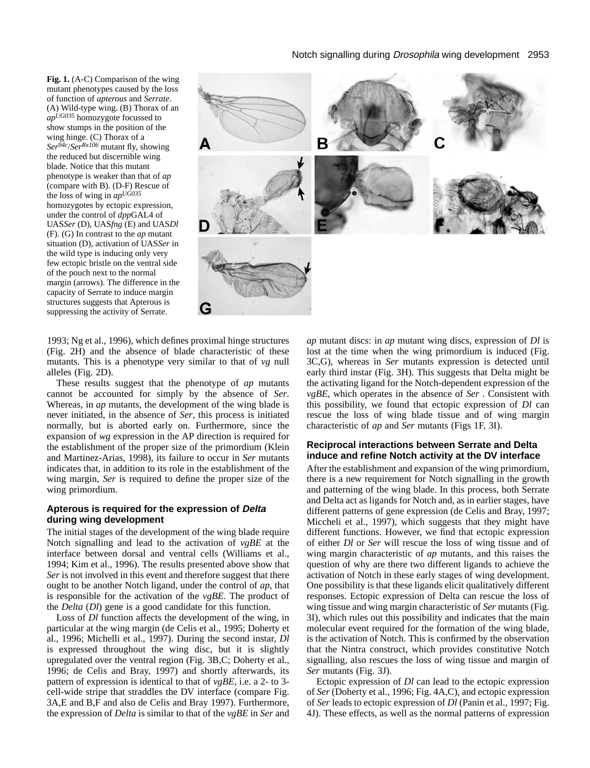**Fig. 1.** (A-C) Comparison of the wing mutant phenotypes caused by the loss of function of *apterous* and *Serrate*. (A) Wild-type wing. (B) Thorax of an *apUG035* homozygote focussed to show stumps in the position of the wing hinge. (C) Thorax of a *Ser94c*/*SerRx106* mutant fly, showing the reduced but discernible wing blade. Notice that this mutant phenotype is weaker than that of *ap* (compare with B). (D-F) Rescue of the loss of wing in *apUG035* homozygotes by ectopic expression, under the control of *dpp*GAL4 of UAS*Ser* (D), UAS*fng* (E) and UAS*Dl* (F). (G) In contrast to the *ap* mutant situation (D), activation of UAS*Ser* in the wild type is inducing only very few ectopic bristle on the ventral side of the pouch next to the normal margin (arrows). The difference in the capacity of Serrate to induce margin structures suggests that Apterous is suppressing the activity of Serrate.



1993; Ng et al., 1996), which defines proximal hinge structures (Fig. 2H) and the absence of blade characteristic of these mutants. This is a phenotype very similar to that of *vg* null alleles (Fig. 2D).

These results suggest that the phenotype of *ap* mutants cannot be accounted for simply by the absence of *Ser*. Whereas, in *ap* mutants, the development of the wing blade is never initiated, in the absence of *Ser*, this process is initiated normally, but is aborted early on. Furthermore, since the expansion of *wg* expression in the AP direction is required for the establishment of the proper size of the primordium (Klein and Martinez-Arias, 1998), its failure to occur in *Ser* mutants indicates that, in addition to its role in the establishment of the wing margin, *Ser* is required to define the proper size of the wing primordium.

## **Apterous is required for the expression of Delta during wing development**

The initial stages of the development of the wing blade require Notch signalling and lead to the activation of *vgBE* at the interface between dorsal and ventral cells (Williams et al., 1994; Kim et al., 1996). The results presented above show that *Ser* is not involved in this event and therefore suggest that there ought to be another Notch ligand, under the control of *ap*, that is responsible for the activation of the *vgBE*. The product of the *Delta* (*Dl*) gene is a good candidate for this function.

Loss of *Dl* function affects the development of the wing, in particular at the wing margin (de Celis et al., 1995; Doherty et al., 1996; Michelli et al., 1997). During the second instar, *Dl* is expressed throughout the wing disc, but it is slightly upregulated over the ventral region (Fig. 3B,C; Doherty et al., 1996; de Celis and Bray, 1997) and shortly afterwards, its pattern of expression is identical to that of *vgBE*, i.e. a 2- to 3 cell-wide stripe that straddles the DV interface (compare Fig. 3A,E and B,F and also de Celis and Bray 1997). Furthermore, the expression of *Delta* is similar to that of the *vgBE* in *Ser* and *ap* mutant discs: in *ap* mutant wing discs, expression of *Dl* is lost at the time when the wing primordium is induced (Fig. 3C,G), whereas in *Ser* mutants expression is detected until early third instar (Fig. 3H). This suggests that Delta might be the activating ligand for the Notch-dependent expression of the *vgBE*, which operates in the absence of *Ser* . Consistent with this possibility, we found that ectopic expression of *Dl* can rescue the loss of wing blade tissue and of wing margin characteristic of *ap* and *Ser* mutants (Figs 1F, 3I).

### **Reciprocal interactions between Serrate and Delta induce and refine Notch activity at the DV interface**

After the establishment and expansion of the wing primordium, there is a new requirement for Notch signalling in the growth and patterning of the wing blade. In this process, both Serrate and Delta act as ligands for Notch and, as in earlier stages, have different patterns of gene expression (de Celis and Bray, 1997; Miccheli et al., 1997), which suggests that they might have different functions. However, we find that ectopic expression of either *Dl* or *Ser* will rescue the loss of wing tissue and of wing margin characteristic of *ap* mutants, and this raises the question of why are there two different ligands to achieve the activation of Notch in these early stages of wing development. One possibility is that these ligands elicit qualitatively different responses. Ectopic expression of Delta can rescue the loss of wing tissue and wing margin characteristic of *Ser* mutants (Fig. 3I), which rules out this possibility and indicates that the main molecular event required for the formation of the wing blade, is the activation of Notch. This is confirmed by the observation that the Nintra construct, which provides constitutive Notch signalling, also rescues the loss of wing tissue and margin of *Ser* mutants (Fig. 3J).

Ectopic expression of *Dl* can lead to the ectopic expression of *Ser* (Doherty et al., 1996; Fig. 4A,C), and ectopic expression of *Ser* leads to ectopic expression of *Dl* (Panin et al., 1997; Fig. 4J). These effects, as well as the normal patterns of expression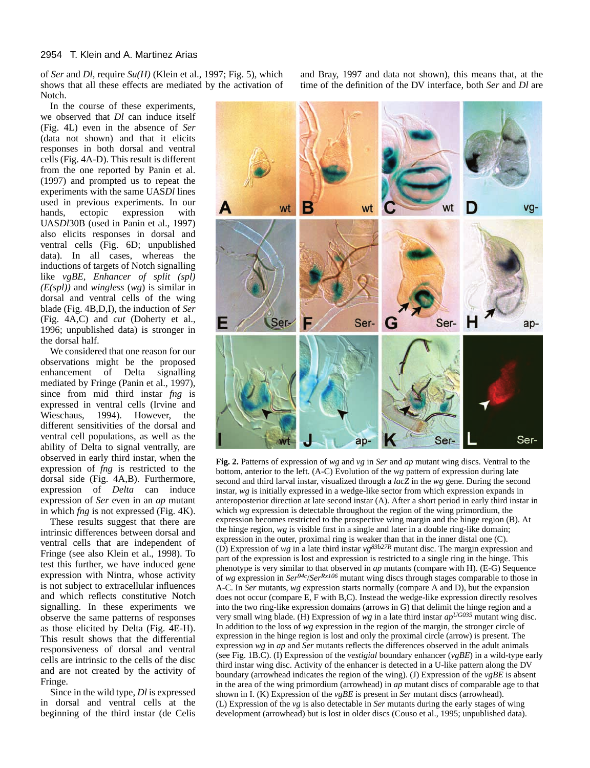of *Ser* and *Dl*, require *Su(H)* (Klein et al., 1997; Fig. 5), which shows that all these effects are mediated by the activation of Notch.

In the course of these experiments, we observed that *Dl* can induce itself (Fig. 4L) even in the absence of *Ser* (data not shown) and that it elicits responses in both dorsal and ventral cells (Fig. 4A-D). This result is different from the one reported by Panin et al. (1997) and prompted us to repeat the experiments with the same UAS*Dl* lines used in previous experiments. In our hands, ectopic expression with UAS*Dl*30B (used in Panin et al., 1997) also elicits responses in dorsal and ventral cells (Fig. 6D; unpublished data). In all cases, whereas the inductions of targets of Notch signalling like *vgBE*, *Enhancer of split (spl) (E(spl))* and *wingless* (*wg*) is similar in dorsal and ventral cells of the wing blade (Fig. 4B,D,I), the induction of *Ser* (Fig. 4A,C) and *cut* (Doherty et al., 1996; unpublished data) is stronger in the dorsal half.

We considered that one reason for our observations might be the proposed enhancement of Delta signalling mediated by Fringe (Panin et al., 1997), since from mid third instar *fng* is expressed in ventral cells (Irvine and Wieschaus, 1994). However, the different sensitivities of the dorsal and ventral cell populations, as well as the ability of Delta to signal ventrally, are observed in early third instar, when the expression of *fng* is restricted to the dorsal side (Fig. 4A,B). Furthermore, expression of *Delta* can induce expression of *Ser* even in an *ap* mutant in which *fng* is not expressed (Fig. 4K).

These results suggest that there are intrinsic differences between dorsal and ventral cells that are independent of Fringe (see also Klein et al., 1998). To test this further, we have induced gene expression with Nintra, whose activity is not subject to extracellular influences and which reflects constitutive Notch signalling. In these experiments we observe the same patterns of responses as those elicited by Delta (Fig. 4E-H). This result shows that the differential responsiveness of dorsal and ventral cells are intrinsic to the cells of the disc and are not created by the activity of Fringe.

Since in the wild type, *Dl* is expressed in dorsal and ventral cells at the beginning of the third instar (de Celis and Bray, 1997 and data not shown), this means that, at the time of the definition of the DV interface, both *Ser* and *Dl* are



**Fig. 2.** Patterns of expression of *wg* and *vg* in *Ser* and *ap* mutant wing discs. Ventral to the bottom, anterior to the left. (A-C) Evolution of the *wg* pattern of expression during late second and third larval instar, visualized through a *lacZ* in the *wg* gene. During the second instar, *wg* is initially expressed in a wedge-like sector from which expression expands in anteroposterior direction at late second instar (A). After a short period in early third instar in which *wg* expression is detectable throughout the region of the wing primordium, the expression becomes restricted to the prospective wing margin and the hinge region (B). At the hinge region, *wg* is visible first in a single and later in a double ring-like domain; expression in the outer, proximal ring is weaker than that in the inner distal one (C). (D) Expression of *wg* in a late third instar *vg83b27R* mutant disc. The margin expression and part of the expression is lost and expression is restricted to a single ring in the hinge. This phenotype is very similar to that observed in *ap* mutants (compare with H). (E-G) Sequence of *wg* expression in *Ser94c*/*SerRx106* mutant wing discs through stages comparable to those in A-C. In *Ser* mutants, *wg* expression starts normally (compare A and D), but the expansion does not occur (compare E, F with B,C). Instead the wedge-like expression directly resolves into the two ring-like expression domains (arrows in G) that delimit the hinge region and a very small wing blade. (H) Expression of *wg* in a late third instar *apUG035* mutant wing disc. In addition to the loss of *wg* expression in the region of the margin, the stronger circle of expression in the hinge region is lost and only the proximal circle (arrow) is present. The expression *wg* in *ap* and *Ser* mutants reflects the differences observed in the adult animals (see Fig. 1B.C). (I) Expression of the *vestigial* boundary enhancer (*vgBE*) in a wild-type early third instar wing disc. Activity of the enhancer is detected in a U-like pattern along the DV boundary (arrowhead indicates the region of the wing). (J) Expression of the *vgBE* is absent in the area of the wing primordium (arrowhead) in *ap* mutant discs of comparable age to that shown in I. (K) Expression of the *vgBE* is present in *Ser* mutant discs (arrowhead). (L) Expression of the *vg* is also detectable in *Ser* mutants during the early stages of wing development (arrowhead) but is lost in older discs (Couso et al., 1995; unpublished data).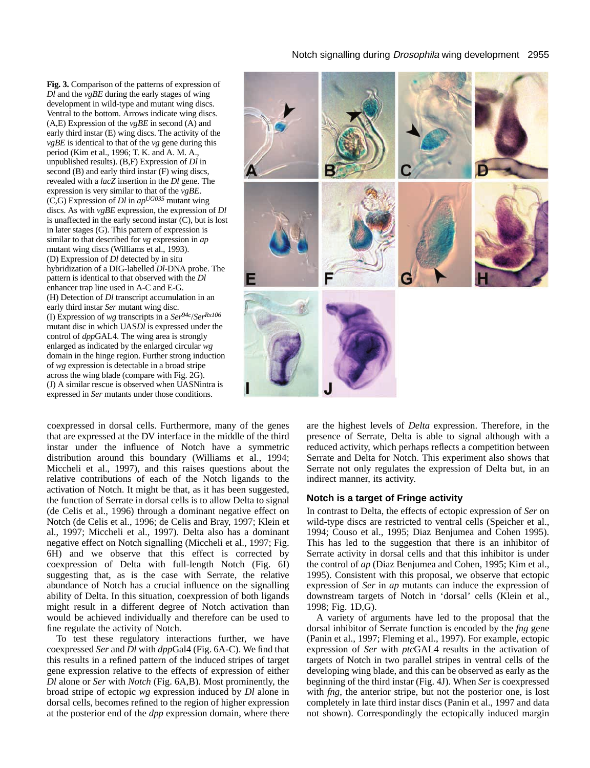**Fig. 3.** Comparison of the patterns of expression of *Dl* and the *vgBE* during the early stages of wing development in wild-type and mutant wing discs. Ventral to the bottom. Arrows indicate wing discs. (A,E) Expression of the *vgBE* in second (A) and early third instar (E) wing discs. The activity of the *vgBE* is identical to that of the *vg* gene during this period (Kim et al., 1996; T. K. and A. M. A., unpublished results). (B,F) Expression of *Dl* in second (B) and early third instar (F) wing discs, revealed with a *lacZ* insertion in the *Dl* gene. The expression is very similar to that of the *vgBE*. (C,G) Expression of *Dl* in *apUG035* mutant wing discs. As with *vgBE* expression, the expression of *Dl* is unaffected in the early second instar (C), but is lost in later stages (G). This pattern of expression is similar to that described for *vg* expression in *ap* mutant wing discs (Williams et al., 1993). (D) Expression of *Dl* detected by in situ hybridization of a DIG-labelled *Dl*-DNA probe. The pattern is identical to that observed with the *Dl* enhancer trap line used in A-C and E-G. (H) Detection of *Dl* transcript accumulation in an early third instar *Ser* mutant wing disc. (I) Expression of *wg* transcripts in a *Ser94c*/*SerRx106* mutant disc in which UAS*Dl* is expressed under the control of *dpp*GAL4. The wing area is strongly enlarged as indicated by the enlarged circular *wg* domain in the hinge region. Further strong induction of *wg* expression is detectable in a broad stripe across the wing blade (compare with Fig. 2G). (J) A similar rescue is observed when UASNintra is expressed in *Ser* mutants under those conditions.

coexpressed in dorsal cells. Furthermore, many of the genes that are expressed at the DV interface in the middle of the third instar under the influence of Notch have a symmetric distribution around this boundary (Williams et al., 1994; Miccheli et al., 1997), and this raises questions about the relative contributions of each of the Notch ligands to the activation of Notch. It might be that, as it has been suggested, the function of Serrate in dorsal cells is to allow Delta to signal (de Celis et al., 1996) through a dominant negative effect on Notch (de Celis et al., 1996; de Celis and Bray, 1997; Klein et al., 1997; Miccheli et al., 1997). Delta also has a dominant negative effect on Notch signalling (Miccheli et al., 1997; Fig. 6H) and we observe that this effect is corrected by coexpression of Delta with full-length Notch (Fig. 6I) suggesting that, as is the case with Serrate, the relative abundance of Notch has a crucial influence on the signalling ability of Delta. In this situation, coexpression of both ligands might result in a different degree of Notch activation than would be achieved individually and therefore can be used to fine regulate the activity of Notch.

To test these regulatory interactions further, we have coexpressed *Ser* and *Dl* with *dpp*Gal4 (Fig. 6A-C). We find that this results in a refined pattern of the induced stripes of target gene expression relative to the effects of expression of either *Dl* alone or *Ser* with *Notch* (Fig. 6A,B). Most prominently, the broad stripe of ectopic *wg* expression induced by *Dl* alone in dorsal cells, becomes refined to the region of higher expression at the posterior end of the *dpp* expression domain, where there

are the highest levels of *Delta* expression. Therefore, in the presence of Serrate, Delta is able to signal although with a reduced activity, which perhaps reflects a competition between Serrate and Delta for Notch. This experiment also shows that Serrate not only regulates the expression of Delta but, in an indirect manner, its activity.

# **Notch is a target of Fringe activity**

In contrast to Delta, the effects of ectopic expression of *Ser* on wild-type discs are restricted to ventral cells (Speicher et al., 1994; Couso et al., 1995; Diaz Benjumea and Cohen 1995). This has led to the suggestion that there is an inhibitor of Serrate activity in dorsal cells and that this inhibitor is under the control of *ap* (Diaz Benjumea and Cohen, 1995; Kim et al., 1995). Consistent with this proposal, we observe that ectopic expression of *Ser* in *ap* mutants can induce the expression of downstream targets of Notch in 'dorsal' cells (Klein et al., 1998; Fig. 1D,G).

A variety of arguments have led to the proposal that the dorsal inhibitor of Serrate function is encoded by the *fng* gene (Panin et al., 1997; Fleming et al., 1997). For example, ectopic expression of *Ser* with *ptc*GAL4 results in the activation of targets of Notch in two parallel stripes in ventral cells of the developing wing blade, and this can be observed as early as the beginning of the third instar (Fig. 4J). When *Ser* is coexpressed with *fng*, the anterior stripe, but not the posterior one, is lost completely in late third instar discs (Panin et al., 1997 and data not shown). Correspondingly the ectopically induced margin

Notch signalling during Drosophila wing development 2955

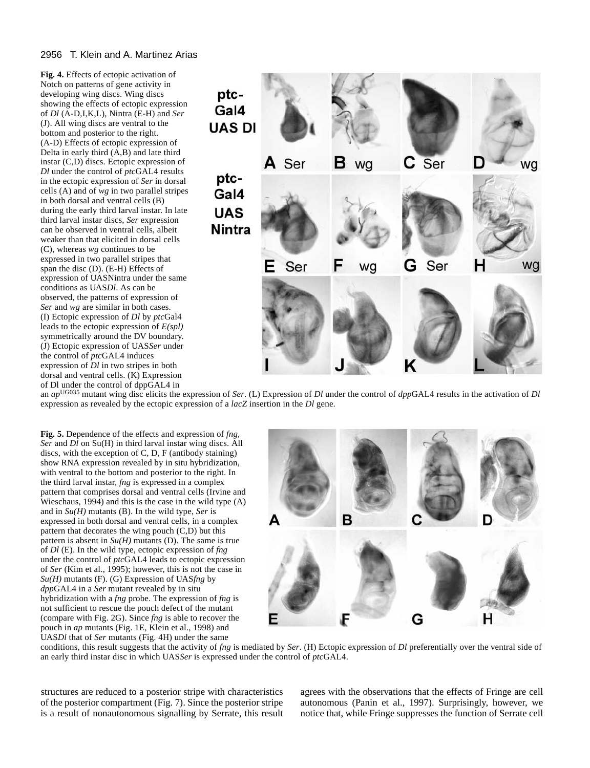**Fig. 4.** Effects of ectopic activation of Notch on patterns of gene activity in developing wing discs. Wing discs showing the effects of ectopic expression of *Dl* (A-D,I,K,L), Nintra (E-H) and *Ser* (J). All wing discs are ventral to the bottom and posterior to the right. (A-D) Effects of ectopic expression of Delta in early third (A,B) and late third instar (C,D) discs. Ectopic expression of *Dl* under the control of *ptc*GAL4 results in the ectopic expression of *Ser* in dorsal cells (A) and of *wg* in two parallel stripes in both dorsal and ventral cells (B) during the early third larval instar. In late third larval instar discs, *Ser* expression can be observed in ventral cells, albeit weaker than that elicited in dorsal cells (C), whereas *wg* continues to be expressed in two parallel stripes that span the disc (D). (E-H) Effects of expression of UASNintra under the same conditions as UAS*Dl*. As can be observed, the patterns of expression of *Ser* and *wg* are similar in both cases. (I) Ectopic expression of *Dl* by *ptc*Gal4 leads to the ectopic expression of *E(spl)* symmetrically around the DV boundary. (J) Ectopic expression of UAS*Ser* under the control of *ptc*GAL4 induces expression of *Dl* in two stripes in both dorsal and ventral cells. (K) Expression of Dl under the control of dppGAL4 in



an *ap*UG035 mutant wing disc elicits the expression of *Ser*. (L) Expression of *Dl* under the control of *dpp*GAL4 results in the activation of *Dl* expression as revealed by the ectopic expression of a *lacZ* insertion in the *Dl* gene.

**Fig. 5.** Dependence of the effects and expression of *fng*, *Ser* and *Dl* on Su(H) in third larval instar wing discs. All discs, with the exception of C, D, F (antibody staining) show RNA expression revealed by in situ hybridization, with ventral to the bottom and posterior to the right. In the third larval instar, *fng* is expressed in a complex pattern that comprises dorsal and ventral cells (Irvine and Wieschaus, 1994) and this is the case in the wild type  $(A)$ and in  $Su(H)$  mutants (B). In the wild type, *Ser* is expressed in both dorsal and ventral cells, in a complex pattern that decorates the wing pouch  $(C,D)$  but this pattern is absent in  $Su(H)$  mutants (D). The same is true of *Dl* (E). In the wild type, ectopic expression of *fng* under the control of *ptc*GAL4 leads to ectopic expression of *Ser* (Kim et al., 1995); however, this is not the case in *Su(H)* mutants (F). (G) Expression of UAS*fng* by *dpp*GAL4 in a *Ser* mutant revealed by in situ hybridization with a *fng* probe. The expression of *fng* is not sufficient to rescue the pouch defect of the mutant (compare with Fig. 2G). Since *fng* is able to recover the pouch in *ap* mutants (Fig. 1E, Klein et al., 1998) and UAS*Dl* that of *Ser* mutants (Fig. 4H) under the same



conditions, this result suggests that the activity of *fng* is mediated by *Ser*. (H) Ectopic expression of *Dl* preferentially over the ventral side of an early third instar disc in which UAS*Ser* is expressed under the control of *ptc*GAL4.

structures are reduced to a posterior stripe with characteristics of the posterior compartment (Fig. 7). Since the posterior stripe is a result of nonautonomous signalling by Serrate, this result

agrees with the observations that the effects of Fringe are cell autonomous (Panin et al., 1997). Surprisingly, however, we notice that, while Fringe suppresses the function of Serrate cell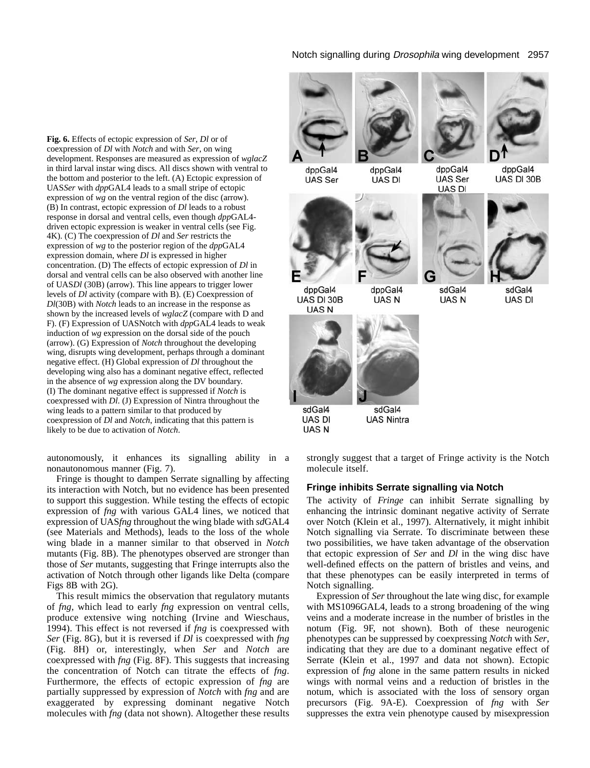**Fig. 6.** Effects of ectopic expression of *Ser*, *Dl* or of coexpression of *Dl* with *Notch* and with *Ser*, on wing development. Responses are measured as expression of *wglacZ* in third larval instar wing discs. All discs shown with ventral to the bottom and posterior to the left. (A) Ectopic expression of UAS*Ser* with *dpp*GAL4 leads to a small stripe of ectopic expression of *wg* on the ventral region of the disc (arrow). (B) In contrast, ectopic expression of *Dl* leads to a robust response in dorsal and ventral cells, even though *dpp*GAL4 driven ectopic expression is weaker in ventral cells (see Fig. 4K). (C) The coexpression of *Dl* and *Ser* restricts the expression of *wg* to the posterior region of the *dpp*GAL4 expression domain, where *Dl* is expressed in higher concentration. (D) The effects of ectopic expression of *Dl* in dorsal and ventral cells can be also observed with another line of UAS*Dl* (30B) (arrow). This line appears to trigger lower levels of *Dl* activity (compare with B). (E) Coexpression of *Dl*(30B) with *Notch* leads to an increase in the response as shown by the increased levels of *wglacZ* (compare with D and F). (F) Expression of UASNotch with *dpp*GAL4 leads to weak induction of *wg* expression on the dorsal side of the pouch (arrow). (G) Expression of *Notch* throughout the developing wing, disrupts wing development, perhaps through a dominant negative effect. (H) Global expression of *Dl* throughout the developing wing also has a dominant negative effect, reflected in the absence of *wg* expression along the DV boundary. (I) The dominant negative effect is suppressed if *Notch* is coexpressed with *Dl*. (J) Expression of Nintra throughout the wing leads to a pattern similar to that produced by coexpression of *Dl* and *Notch*, indicating that this pattern is likely to be due to activation of *Notch*.

autonomously, it enhances its signalling ability in a nonautonomous manner (Fig. 7).

Fringe is thought to dampen Serrate signalling by affecting its interaction with Notch, but no evidence has been presented to support this suggestion. While testing the effects of ectopic expression of *fng* with various GAL4 lines, we noticed that expression of UAS*fng* throughout the wing blade with *sd*GAL4 (see Materials and Methods), leads to the loss of the whole wing blade in a manner similar to that observed in *Notch* mutants (Fig. 8B). The phenotypes observed are stronger than those of *Ser* mutants, suggesting that Fringe interrupts also the activation of Notch through other ligands like Delta (compare Figs 8B with 2G).

This result mimics the observation that regulatory mutants of *fng*, which lead to early *fng* expression on ventral cells, produce extensive wing notching (Irvine and Wieschaus, 1994). This effect is not reversed if *fng* is coexpressed with *Ser* (Fig. 8G), but it is reversed if *Dl* is coexpressed with *fng* (Fig. 8H) or, interestingly, when *Ser* and *Notch* are coexpressed with *fng* (Fig. 8F). This suggests that increasing the concentration of Notch can titrate the effects of *fng*. Furthermore, the effects of ectopic expression of *fng* are partially suppressed by expression of *Notch* with *fng* and are exaggerated by expressing dominant negative Notch molecules with *fng* (data not shown). Altogether these results

### Notch signalling during Drosophila wing development 2957



dppGal4 dppGal4 **UAS** Ser UAS DI



UAS DI 30B

**UAS DI** 

**UASN** 



**UASN** 

**UAS Nintra** 

dppGal4

**UAS Ser** 

**UAS DI** 

sdGal4

**UASN** 



dppGal4 UAS DI 30B



sdGal4 **UAS DI** 

strongly suggest that a target of Fringe activity is the Notch molecule itself.

# **Fringe inhibits Serrate signalling via Notch**

The activity of *Fringe* can inhibit Serrate signalling by enhancing the intrinsic dominant negative activity of Serrate over Notch (Klein et al., 1997). Alternatively, it might inhibit Notch signalling via Serrate. To discriminate between these two possibilities, we have taken advantage of the observation that ectopic expression of *Ser* and *Dl* in the wing disc have well-defined effects on the pattern of bristles and veins, and that these phenotypes can be easily interpreted in terms of Notch signalling.

Expression of *Ser* throughout the late wing disc, for example with MS1096GAL4, leads to a strong broadening of the wing veins and a moderate increase in the number of bristles in the notum (Fig. 9F, not shown). Both of these neurogenic phenotypes can be suppressed by coexpressing *Notch* with *Ser*, indicating that they are due to a dominant negative effect of Serrate (Klein et al., 1997 and data not shown). Ectopic expression of *fng* alone in the same pattern results in nicked wings with normal veins and a reduction of bristles in the notum, which is associated with the loss of sensory organ precursors (Fig. 9A-E). Coexpression of *fng* with *Ser* suppresses the extra vein phenotype caused by misexpression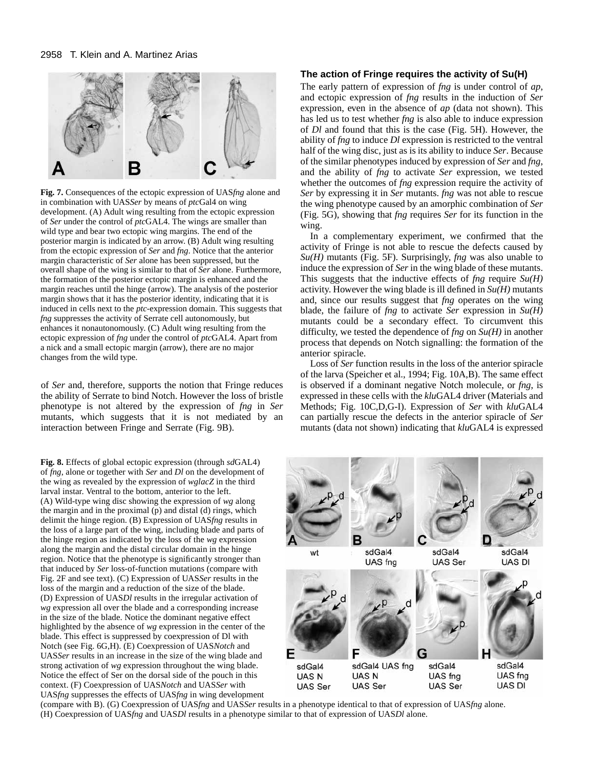

**Fig. 7.** Consequences of the ectopic expression of UAS*fng* alone and in combination with UAS*Ser* by means of *ptc*Gal4 on wing development. (A) Adult wing resulting from the ectopic expression of *Ser* under the control of *ptc*GAL4. The wings are smaller than wild type and bear two ectopic wing margins. The end of the posterior margin is indicated by an arrow. (B) Adult wing resulting from the ectopic expression of *Ser* and *fng*. Notice that the anterior margin characteristic of *Ser* alone has been suppressed, but the overall shape of the wing is similar to that of *Ser* alone. Furthermore, the formation of the posterior ectopic margin is enhanced and the margin reaches until the hinge (arrow). The analysis of the posterior margin shows that it has the posterior identity, indicating that it is induced in cells next to the *ptc*-expression domain. This suggests that *fng* suppresses the activity of Serrate cell autonomously, but enhances it nonautonomously. (C) Adult wing resulting from the ectopic expression of *fng* under the control of *ptc*GAL4. Apart from a nick and a small ectopic margin (arrow), there are no major changes from the wild type.

of *Ser* and, therefore, supports the notion that Fringe reduces the ability of Serrate to bind Notch. However the loss of bristle phenotype is not altered by the expression of *fng* in *Ser* mutants, which suggests that it is not mediated by an interaction between Fringe and Serrate (Fig. 9B).

**Fig. 8.** Effects of global ectopic expression (through *sd*GAL4) of *fng*, alone or together with *Ser* and *Dl* on the development of the wing as revealed by the expression of *wglacZ* in the third larval instar. Ventral to the bottom, anterior to the left. (A) Wild-type wing disc showing the expression of *wg* along the margin and in the proximal (p) and distal (d) rings, which delimit the hinge region. (B) Expression of UAS*fng* results in the loss of a large part of the wing, including blade and parts of the hinge region as indicated by the loss of the *wg* expression along the margin and the distal circular domain in the hinge region. Notice that the phenotype is significantly stronger than that induced by *Ser* loss-of-function mutations (compare with Fig. 2F and see text). (C) Expression of UAS*Ser* results in the loss of the margin and a reduction of the size of the blade. (D) Expression of UAS*Dl* results in the irregular activation of *wg* expression all over the blade and a corresponding increase in the size of the blade. Notice the dominant negative effect highlighted by the absence of *wg* expression in the center of the blade. This effect is suppressed by coexpression of Dl with Notch (see Fig. 6G,H). (E) Coexpression of UAS*Notch* and UAS*Ser* results in an increase in the size of the wing blade and strong activation of *wg* expression throughout the wing blade. Notice the effect of Ser on the dorsal side of the pouch in this context. (F) Coexpression of UAS*Notch* and UAS*Ser* with UAS*fng* suppresses the effects of UAS*fng* in wing development

# **The action of Fringe requires the activity of Su(H)**

The early pattern of expression of *fng* is under control of *ap*, and ectopic expression of *fng* results in the induction of *Ser* expression, even in the absence of *ap* (data not shown). This has led us to test whether *fng* is also able to induce expression of *Dl* and found that this is the case (Fig. 5H). However, the ability of *fng* to induce *Dl* expression is restricted to the ventral half of the wing disc, just as is its ability to induce *Ser*. Because of the similar phenotypes induced by expression of *Ser* and *fng*, and the ability of *fng* to activate *Ser* expression, we tested whether the outcomes of *fng* expression require the activity of *Ser* by expressing it in *Ser* mutants. *fng* was not able to rescue the wing phenotype caused by an amorphic combination of *Ser* (Fig. 5G), showing that *fng* requires *Ser* for its function in the wing.

In a complementary experiment, we confirmed that the activity of Fringe is not able to rescue the defects caused by *Su(H)* mutants (Fig. 5F). Surprisingly, *fng* was also unable to induce the expression of *Ser* in the wing blade of these mutants. This suggests that the inductive effects of *fng* require *Su(H)* activity. However the wing blade is ill defined in *Su(H)* mutants and, since our results suggest that *fng* operates on the wing blade, the failure of *fng* to activate *Ser* expression in *Su(H)* mutants could be a secondary effect. To circumvent this difficulty, we tested the dependence of *fng* on *Su(H)* in another process that depends on Notch signalling: the formation of the anterior spiracle.

Loss of *Ser* function results in the loss of the anterior spiracle of the larva (Speicher et al., 1994; Fig. 10A,B). The same effect is observed if a dominant negative Notch molecule, or *fng*, is expressed in these cells with the *klu*GAL4 driver (Materials and Methods; Fig. 10C,D,G-I). Expression of *Ser* with *klu*GAL4 can partially rescue the defects in the anterior spiracle of *Ser* mutants (data not shown) indicating that *klu*GAL4 is expressed



(compare with B). (G) Coexpression of UAS*fng* and UAS*Ser* results in a phenotype identical to that of expression of UAS*fng* alone. (H) Coexpression of UAS*fng* and UAS*Dl* results in a phenotype similar to that of expression of UAS*Dl* alone.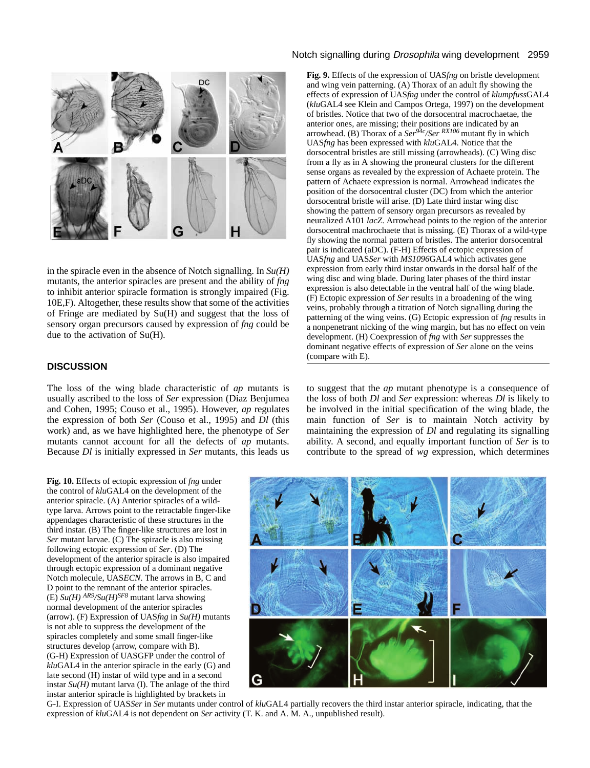

in the spiracle even in the absence of Notch signalling. In *Su(H)* mutants, the anterior spiracles are present and the ability of *fng* to inhibit anterior spiracle formation is strongly impaired (Fig. 10E,F). Altogether, these results show that some of the activities of Fringe are mediated by Su(H) and suggest that the loss of sensory organ precursors caused by expression of *fng* could be due to the activation of Su(H).

# **DISCUSSION**

The loss of the wing blade characteristic of *ap* mutants is usually ascribed to the loss of *Ser* expression (Diaz Benjumea and Cohen, 1995; Couso et al., 1995). However, *ap* regulates the expression of both *Ser* (Couso et al., 1995) and *Dl* (this work) and, as we have highlighted here, the phenotype of *Ser* mutants cannot account for all the defects of *ap* mutants. Because *Dl* is initially expressed in *Ser* mutants, this leads us

# Notch signalling during Drosophila wing development 2959

**Fig. 9.** Effects of the expression of UAS*fng* on bristle development and wing vein patterning. (A) Thorax of an adult fly showing the effects of expression of UAS*fng* under the control of *klumpfuss*GAL4 (*klu*GAL4 see Klein and Campos Ortega, 1997) on the development of bristles. Notice that two of the dorsocentral macrochaetae, the anterior ones, are missing; their positions are indicated by an arrowhead. (B) Thorax of a *Ser94c/Ser RX106* mutant fly in which UAS*fng* has been expressed with *klu*GAL4. Notice that the dorsocentral bristles are still missing (arrowheads). (C) Wing disc from a fly as in A showing the proneural clusters for the different sense organs as revealed by the expression of Achaete protein. The pattern of Achaete expression is normal. Arrowhead indicates the position of the dorsocentral cluster (DC) from which the anterior dorsocentral bristle will arise. (D) Late third instar wing disc showing the pattern of sensory organ precursors as revealed by neuralized A101 *lacZ*. Arrowhead points to the region of the anterior dorsocentral machrochaete that is missing. (E) Thorax of a wild-type fly showing the normal pattern of bristles. The anterior dorsocentral pair is indicated (aDC). (F-H) Effects of ectopic expression of UAS*fng* and UAS*Ser* with *MS1096*GAL4 which activates gene expression from early third instar onwards in the dorsal half of the wing disc and wing blade. During later phases of the third instar expression is also detectable in the ventral half of the wing blade. (F) Ectopic expression of *Ser* results in a broadening of the wing veins, probably through a titration of Notch signalling during the patterning of the wing veins. (G) Ectopic expression of *fng* results in a nonpenetrant nicking of the wing margin, but has no effect on vein development. (H) Coexpression of *fng* with *Ser* suppresses the dominant negative effects of expression of *Ser* alone on the veins (compare with E).

to suggest that the *ap* mutant phenotype is a consequence of the loss of both *Dl* and *Ser* expression: whereas *Dl* is likely to be involved in the initial specification of the wing blade, the main function of *Ser* is to maintain Notch activity by maintaining the expression of *Dl* and regulating its signalling ability. A second, and equally important function of *Ser* is to contribute to the spread of *wg* expression, which determines

**Fig. 10.** Effects of ectopic expression of *fng* under the control of *klu*GAL4 on the development of the anterior spiracle. (A) Anterior spiracles of a wildtype larva. Arrows point to the retractable finger-like appendages characteristic of these structures in the third instar. (B) The finger-like structures are lost in *Ser* mutant larvae. (C) The spiracle is also missing following ectopic expression of *Ser*. (D) The development of the anterior spiracle is also impaired through ectopic expression of a dominant negative Notch molecule, UAS*ECN*. The arrows in B, C and D point to the remnant of the anterior spiracles.  $(E)$  *Su(H)* <sup>AR9</sup>/Su(H)<sup>SF8</sup> mutant larva showing normal development of the anterior spiracles (arrow). (F) Expression of UAS*fng* in *Su(H)* mutants is not able to suppress the development of the spiracles completely and some small finger-like structures develop (arrow, compare with B). (G-H) Expression of UASGFP under the control of *klu*GAL4 in the anterior spiracle in the early (G) and late second (H) instar of wild type and in a second instar  $Su(H)$  mutant larva (I). The anlage of the third instar anterior spiracle is highlighted by brackets in



G-I. Expression of UAS*Ser* in *Ser* mutants under control of *klu*GAL4 partially recovers the third instar anterior spiracle, indicating, that the expression of *klu*GAL4 is not dependent on *Ser* activity (T. K. and A. M. A., unpublished result).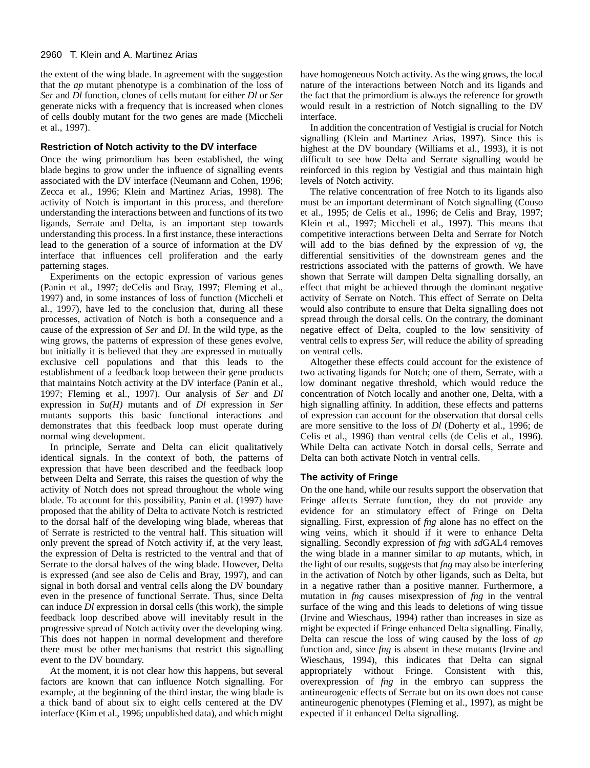the extent of the wing blade. In agreement with the suggestion that the *ap* mutant phenotype is a combination of the loss of *Ser* and *Dl* function, clones of cells mutant for either *Dl* or *Ser* generate nicks with a frequency that is increased when clones of cells doubly mutant for the two genes are made (Miccheli et al., 1997).

# **Restriction of Notch activity to the DV interface**

Once the wing primordium has been established, the wing blade begins to grow under the influence of signalling events associated with the DV interface (Neumann and Cohen, 1996; Zecca et al., 1996; Klein and Martinez Arias, 1998). The activity of Notch is important in this process, and therefore understanding the interactions between and functions of its two ligands, Serrate and Delta, is an important step towards understanding this process. In a first instance, these interactions lead to the generation of a source of information at the DV interface that influences cell proliferation and the early patterning stages.

Experiments on the ectopic expression of various genes (Panin et al., 1997; deCelis and Bray, 1997; Fleming et al., 1997) and, in some instances of loss of function (Miccheli et al., 1997), have led to the conclusion that, during all these processes, activation of Notch is both a consequence and a cause of the expression of *Ser* and *Dl*. In the wild type, as the wing grows, the patterns of expression of these genes evolve, but initially it is believed that they are expressed in mutually exclusive cell populations and that this leads to the establishment of a feedback loop between their gene products that maintains Notch activity at the DV interface (Panin et al., 1997; Fleming et al., 1997). Our analysis of *Ser* and *Dl* expression in *Su(H)* mutants and of *Dl* expression in *Ser* mutants supports this basic functional interactions and demonstrates that this feedback loop must operate during normal wing development.

In principle, Serrate and Delta can elicit qualitatively identical signals. In the context of both, the patterns of expression that have been described and the feedback loop between Delta and Serrate, this raises the question of why the activity of Notch does not spread throughout the whole wing blade. To account for this possibility, Panin et al. (1997) have proposed that the ability of Delta to activate Notch is restricted to the dorsal half of the developing wing blade, whereas that of Serrate is restricted to the ventral half. This situation will only prevent the spread of Notch activity if, at the very least, the expression of Delta is restricted to the ventral and that of Serrate to the dorsal halves of the wing blade. However, Delta is expressed (and see also de Celis and Bray, 1997), and can signal in both dorsal and ventral cells along the DV boundary even in the presence of functional Serrate. Thus, since Delta can induce *Dl* expression in dorsal cells (this work), the simple feedback loop described above will inevitably result in the progressive spread of Notch activity over the developing wing. This does not happen in normal development and therefore there must be other mechanisms that restrict this signalling event to the DV boundary.

At the moment, it is not clear how this happens, but several factors are known that can influence Notch signalling. For example, at the beginning of the third instar, the wing blade is a thick band of about six to eight cells centered at the DV interface (Kim et al., 1996; unpublished data), and which might

have homogeneous Notch activity. As the wing grows, the local nature of the interactions between Notch and its ligands and the fact that the primordium is always the reference for growth would result in a restriction of Notch signalling to the DV interface.

In addition the concentration of Vestigial is crucial for Notch signalling (Klein and Martinez Arias, 1997). Since this is highest at the DV boundary (Williams et al., 1993), it is not difficult to see how Delta and Serrate signalling would be reinforced in this region by Vestigial and thus maintain high levels of Notch activity.

The relative concentration of free Notch to its ligands also must be an important determinant of Notch signalling (Couso et al., 1995; de Celis et al., 1996; de Celis and Bray, 1997; Klein et al., 1997; Miccheli et al., 1997). This means that competitive interactions between Delta and Serrate for Notch will add to the bias defined by the expression of *vg*, the differential sensitivities of the downstream genes and the restrictions associated with the patterns of growth. We have shown that Serrate will dampen Delta signalling dorsally, an effect that might be achieved through the dominant negative activity of Serrate on Notch. This effect of Serrate on Delta would also contribute to ensure that Delta signalling does not spread through the dorsal cells. On the contrary, the dominant negative effect of Delta, coupled to the low sensitivity of ventral cells to express *Ser*, will reduce the ability of spreading on ventral cells.

Altogether these effects could account for the existence of two activating ligands for Notch; one of them, Serrate, with a low dominant negative threshold, which would reduce the concentration of Notch locally and another one, Delta, with a high signalling affinity. In addition, these effects and patterns of expression can account for the observation that dorsal cells are more sensitive to the loss of *Dl* (Doherty et al., 1996; de Celis et al., 1996) than ventral cells (de Celis et al., 1996). While Delta can activate Notch in dorsal cells, Serrate and Delta can both activate Notch in ventral cells.

# **The activity of Fringe**

On the one hand, while our results support the observation that Fringe affects Serrate function, they do not provide any evidence for an stimulatory effect of Fringe on Delta signalling. First, expression of *fng* alone has no effect on the wing veins, which it should if it were to enhance Delta signalling. Secondly expression of *fng* with *sd*GAL4 removes the wing blade in a manner similar to *ap* mutants, which, in the light of our results, suggests that *fng* may also be interfering in the activation of Notch by other ligands, such as Delta, but in a negative rather than a positive manner. Furthermore, a mutation in *fng* causes misexpression of *fng* in the ventral surface of the wing and this leads to deletions of wing tissue (Irvine and Wieschaus, 1994) rather than increases in size as might be expected if Fringe enhanced Delta signalling. Finally, Delta can rescue the loss of wing caused by the loss of *ap* function and, since *fng* is absent in these mutants (Irvine and Wieschaus, 1994), this indicates that Delta can signal appropriately without Fringe. Consistent with this, overexpression of *fng* in the embryo can suppress the antineurogenic effects of Serrate but on its own does not cause antineurogenic phenotypes (Fleming et al., 1997), as might be expected if it enhanced Delta signalling.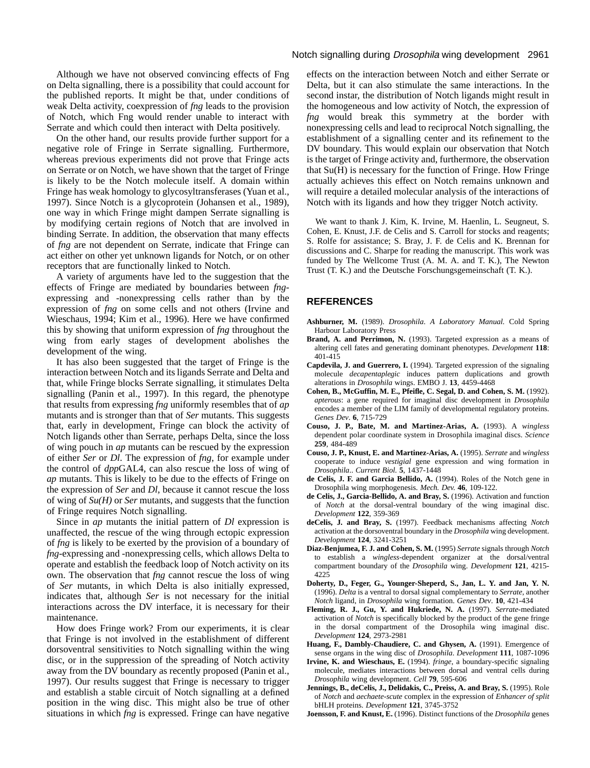Although we have not observed convincing effects of Fng on Delta signalling, there is a possibility that could account for the published reports. It might be that, under conditions of weak Delta activity, coexpression of *fng* leads to the provision of Notch, which Fng would render unable to interact with Serrate and which could then interact with Delta positively.

On the other hand, our results provide further support for a negative role of Fringe in Serrate signalling. Furthermore, whereas previous experiments did not prove that Fringe acts on Serrate or on Notch, we have shown that the target of Fringe is likely to be the Notch molecule itself. A domain within Fringe has weak homology to glycosyltransferases (Yuan et al., 1997). Since Notch is a glycoprotein (Johansen et al., 1989), one way in which Fringe might dampen Serrate signalling is by modifying certain regions of Notch that are involved in binding Serrate. In addition, the observation that many effects of *fng* are not dependent on Serrate, indicate that Fringe can act either on other yet unknown ligands for Notch, or on other receptors that are functionally linked to Notch.

A variety of arguments have led to the suggestion that the effects of Fringe are mediated by boundaries between *fng*expressing and -nonexpressing cells rather than by the expression of *fng* on some cells and not others (Irvine and Wieschaus, 1994; Kim et al., 1996). Here we have confirmed this by showing that uniform expression of *fng* throughout the wing from early stages of development abolishes the development of the wing.

It has also been suggested that the target of Fringe is the interaction between Notch and its ligands Serrate and Delta and that, while Fringe blocks Serrate signalling, it stimulates Delta signalling (Panin et al., 1997). In this regard, the phenotype that results from expressing *fng* uniformly resembles that of *ap* mutants and is stronger than that of *Ser* mutants. This suggests that, early in development, Fringe can block the activity of Notch ligands other than Serrate, perhaps Delta, since the loss of wing pouch in *ap* mutants can be rescued by the expression of either *Ser* or *Dl*. The expression of *fng*, for example under the control of *dpp*GAL4, can also rescue the loss of wing of *ap* mutants. This is likely to be due to the effects of Fringe on the expression of *Ser* and *Dl*, because it cannot rescue the loss of wing of *Su(H)* or *Ser* mutants, and suggests that the function of Fringe requires Notch signalling.

Since in *ap* mutants the initial pattern of *Dl* expression is unaffected, the rescue of the wing through ectopic expression of *fng* is likely to be exerted by the provision of a boundary of *fng*-expressing and -nonexpressing cells, which allows Delta to operate and establish the feedback loop of Notch activity on its own. The observation that *fng* cannot rescue the loss of wing of *Ser* mutants, in which Delta is also initially expressed, indicates that, although *Ser* is not necessary for the initial interactions across the DV interface, it is necessary for their maintenance.

How does Fringe work? From our experiments, it is clear that Fringe is not involved in the establishment of different dorsoventral sensitivities to Notch signalling within the wing disc, or in the suppression of the spreading of Notch activity away from the DV boundary as recently proposed (Panin et al., 1997). Our results suggest that Fringe is necessary to trigger and establish a stable circuit of Notch signalling at a defined position in the wing disc. This might also be true of other situations in which *fng* is expressed. Fringe can have negative

#### Notch signalling during Drosophila wing development 2961

effects on the interaction between Notch and either Serrate or Delta, but it can also stimulate the same interactions. In the second instar, the distribution of Notch ligands might result in the homogeneous and low activity of Notch, the expression of *fng* would break this symmetry at the border with nonexpressing cells and lead to reciprocal Notch signalling, the establishment of a signalling center and its refinement to the DV boundary. This would explain our observation that Notch is the target of Fringe activity and, furthermore, the observation that Su(H) is necessary for the function of Fringe. How Fringe actually achieves this effect on Notch remains unknown and will require a detailed molecular analysis of the interactions of Notch with its ligands and how they trigger Notch activity.

We want to thank J. Kim, K. Irvine, M. Haenlin, L. Seugneut, S. Cohen, E. Knust, J.F. de Celis and S. Carroll for stocks and reagents; S. Rolfe for assistance; S. Bray, J. F. de Celis and K. Brennan for discussions and C. Sharpe for reading the manuscript. This work was funded by The Wellcome Trust (A. M. A. and T. K.), The Newton Trust (T. K.) and the Deutsche Forschungsgemeinschaft (T. K.).

### **REFERENCES**

- **Ashburner, M.** (1989). *Drosophila*. *A Laboratory Manual.* Cold Spring Harbour Laboratory Press
- **Brand, A. and Perrimon, N.** (1993). Targeted expression as a means of altering cell fates and generating dominant phenotypes. *Development* **118**: 401-415
- **Capdevila, J. and Guerrero, I.** (1994). Targeted expression of the signaling molecule *decapentaplegic* induces pattern duplications and growth alterations in *Drosophila* wings. EMBO J. **13**, 4459-4468
- **Cohen, B., McGuffin, M. E., Pfeifle, C. Segal, D. and Cohen, S. M.** (1992). *apterous*: a gene required for imaginal disc development in *Drosophila* encodes a member of the LIM family of developmental regulatory proteins. *Genes Dev*. **6**, 715-729
- **Couso, J. P., Bate, M. and Martinez-Arias, A.** (1993). A *wingless* dependent polar coordinate system in Drosophila imaginal discs. *Science* **259**, 484-489
- **Couso, J. P., Knust, E. and Martinez-Arias, A.** (1995). *Serrate* and *wingless* cooperate to induce *vestigial* gene expression and wing formation in *Drosophila*.. *Current Biol.* **5**, 1437-1448
- **de Celis, J. F. and Garcia Bellido, A.** (1994). Roles of the Notch gene in Drosophila wing morphogenesis. *Mech. Dev.* **46**, 109-122.
- **de Celis, J., Garcia-Bellido, A. and Bray, S.** (1996). Activation and function of *Notch* at the dorsal-ventral boundary of the wing imaginal disc. *Development* **122**, 359-369
- **deCelis, J. and Bray, S.** (1997). Feedback mechanisms affecting *Notch* activation at the dorsoventral boundary in the *Drosophila* wing development. *Development* **124**, 3241-3251
- **Diaz-Benjumea, F. J. and Cohen, S. M.** (1995) *Serrate* signals through *Notch* to establish a *wingless*-dependent organizer at the dorsal/ventral compartment boundary of the *Drosophila* wing. *Development* **121**, 4215- 4225
- **Doherty, D., Feger, G., Younger-Sheperd, S., Jan, L. Y. and Jan, Y. N.** (1996). *Delta* is a ventral to dorsal signal complementary to *Serrate*, another *Notch* ligand, in *Drosophila* wing formation. *Genes Dev*. **10**, 421-434
- **Fleming, R. J., Gu, Y. and Hukriede, N. A.** (1997). *Serrate*-mediated activation of *Notch* is specifically blocked by the product of the gene fringe in the dorsal compartment of the Drosophila wing imaginal disc. *Development* **124**, 2973-2981
- **Huang, F., Dambly-Chaudiere, C. and Ghysen, A.** (1991). Emergence of sense organs in the wing disc of *Drosophila*. *Development* **111**, 1087-1096
- **Irvine, K. and Wieschaus, E.** (1994). *fringe*, a boundary-specific signaling molecule, mediates interactions between dorsal and ventral cells during *Drosophila* wing development. *Cell* **79**, 595-606
- **Jennings, B., deCelis, J., Delidakis, C., Preiss, A. and Bray, S.** (1995). Role of *Notch* and *aechaete-scute* complex in the expression of *Enhancer of split* bHLH proteins. *Development* **121**, 3745-3752
- **Joensson, F. and Knust, E.** (1996). Distinct functions of the *Drosophila* genes